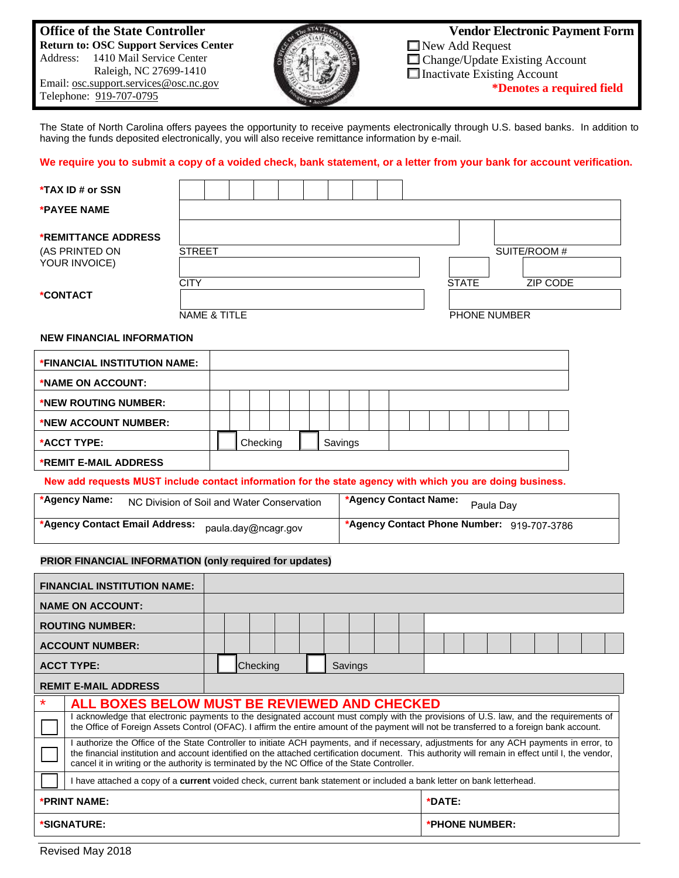## **Office of the State Controller Return to: OSC Support Services Center** Address: 1410 Mail Service Center Raleigh, NC 27699-1410 Email: osc.support.services@osc.nc.gov

Telephone: 919-707-0795



 **Vendor Electronic Payment Form** New Add Request ■ Change/Update Existing Account □ Inactivate Existing Account **\*Denotes a required field**

The State of North Carolina offers payees the opportunity to receive payments electronically through U.S. based banks. In addition to having the funds deposited electronically, you will also receive remittance information by e-mail.

## **We require you to submit a copy of a voided check, bank statement, or a letter from your bank for account verification.**

| *TAX ID # or SSN                                                                                          |                                                                                                                                                                                                                                                                                                                                                                                                 |                         |          |  |         |                       |  |                                            |                |              |              |              |                 |  |
|-----------------------------------------------------------------------------------------------------------|-------------------------------------------------------------------------------------------------------------------------------------------------------------------------------------------------------------------------------------------------------------------------------------------------------------------------------------------------------------------------------------------------|-------------------------|----------|--|---------|-----------------------|--|--------------------------------------------|----------------|--------------|--------------|--------------|-----------------|--|
| *PAYEE NAME                                                                                               |                                                                                                                                                                                                                                                                                                                                                                                                 |                         |          |  |         |                       |  |                                            |                |              |              |              |                 |  |
| <b>*REMITTANCE ADDRESS</b><br>(AS PRINTED ON<br>YOUR INVOICE)                                             | <b>STREET</b>                                                                                                                                                                                                                                                                                                                                                                                   |                         |          |  |         |                       |  |                                            |                |              |              | SUITE/ROOM # |                 |  |
| *CONTACT                                                                                                  | <b>CITY</b>                                                                                                                                                                                                                                                                                                                                                                                     |                         |          |  |         |                       |  |                                            |                | <b>STATE</b> |              |              | <b>ZIP CODE</b> |  |
|                                                                                                           |                                                                                                                                                                                                                                                                                                                                                                                                 | <b>NAME &amp; TITLE</b> |          |  |         |                       |  |                                            |                |              | PHONE NUMBER |              |                 |  |
| <b>NEW FINANCIAL INFORMATION</b>                                                                          |                                                                                                                                                                                                                                                                                                                                                                                                 |                         |          |  |         |                       |  |                                            |                |              |              |              |                 |  |
| *FINANCIAL INSTITUTION NAME:                                                                              |                                                                                                                                                                                                                                                                                                                                                                                                 |                         |          |  |         |                       |  |                                            |                |              |              |              |                 |  |
| *NAME ON ACCOUNT:                                                                                         |                                                                                                                                                                                                                                                                                                                                                                                                 |                         |          |  |         |                       |  |                                            |                |              |              |              |                 |  |
| *NEW ROUTING NUMBER:                                                                                      |                                                                                                                                                                                                                                                                                                                                                                                                 |                         |          |  |         |                       |  |                                            |                |              |              |              |                 |  |
| *NEW ACCOUNT NUMBER:                                                                                      |                                                                                                                                                                                                                                                                                                                                                                                                 |                         |          |  |         |                       |  |                                            |                |              |              |              |                 |  |
| *ACCT TYPE:                                                                                               |                                                                                                                                                                                                                                                                                                                                                                                                 |                         | Checking |  | Savings |                       |  |                                            |                |              |              |              |                 |  |
| *REMIT E-MAIL ADDRESS                                                                                     |                                                                                                                                                                                                                                                                                                                                                                                                 |                         |          |  |         |                       |  |                                            |                |              |              |              |                 |  |
| New add requests MUST include contact information for the state agency with which you are doing business. |                                                                                                                                                                                                                                                                                                                                                                                                 |                         |          |  |         |                       |  |                                            |                |              |              |              |                 |  |
|                                                                                                           |                                                                                                                                                                                                                                                                                                                                                                                                 |                         |          |  |         |                       |  |                                            |                |              |              |              |                 |  |
| *Agency Name:                                                                                             | NC Division of Soil and Water Conservation                                                                                                                                                                                                                                                                                                                                                      |                         |          |  |         | *Agency Contact Name: |  |                                            |                |              | Paula Day    |              |                 |  |
| *Agency Contact Email Address:                                                                            |                                                                                                                                                                                                                                                                                                                                                                                                 | paula.day@ncagr.gov     |          |  |         |                       |  | *Agency Contact Phone Number: 919-707-3786 |                |              |              |              |                 |  |
| PRIOR FINANCIAL INFORMATION (only required for updates)                                                   |                                                                                                                                                                                                                                                                                                                                                                                                 |                         |          |  |         |                       |  |                                            |                |              |              |              |                 |  |
| <b>FINANCIAL INSTITUTION NAME:</b>                                                                        |                                                                                                                                                                                                                                                                                                                                                                                                 |                         |          |  |         |                       |  |                                            |                |              |              |              |                 |  |
| <b>NAME ON ACCOUNT:</b>                                                                                   |                                                                                                                                                                                                                                                                                                                                                                                                 |                         |          |  |         |                       |  |                                            |                |              |              |              |                 |  |
| <b>ROUTING NUMBER:</b>                                                                                    |                                                                                                                                                                                                                                                                                                                                                                                                 |                         |          |  |         |                       |  |                                            |                |              |              |              |                 |  |
| <b>ACCOUNT NUMBER:</b>                                                                                    |                                                                                                                                                                                                                                                                                                                                                                                                 |                         |          |  |         |                       |  |                                            |                |              |              |              |                 |  |
| <b>ACCT TYPE:</b>                                                                                         |                                                                                                                                                                                                                                                                                                                                                                                                 |                         | Checking |  |         | Savings               |  |                                            |                |              |              |              |                 |  |
| <b>REMIT E-MAIL ADDRESS</b>                                                                               |                                                                                                                                                                                                                                                                                                                                                                                                 |                         |          |  |         |                       |  |                                            |                |              |              |              |                 |  |
| *                                                                                                         | ALL BOXES BELOW MUST BE REVIEWED AND CHECKED                                                                                                                                                                                                                                                                                                                                                    |                         |          |  |         |                       |  |                                            |                |              |              |              |                 |  |
|                                                                                                           | I acknowledge that electronic payments to the designated account must comply with the provisions of U.S. law, and the requirements of<br>the Office of Foreign Assets Control (OFAC). I affirm the entire amount of the payment will not be transferred to a foreign bank account.                                                                                                              |                         |          |  |         |                       |  |                                            |                |              |              |              |                 |  |
|                                                                                                           | I authorize the Office of the State Controller to initiate ACH payments, and if necessary, adjustments for any ACH payments in error, to<br>the financial institution and account identified on the attached certification document. This authority will remain in effect until I, the vendor,<br>cancel it in writing or the authority is terminated by the NC Office of the State Controller. |                         |          |  |         |                       |  |                                            |                |              |              |              |                 |  |
|                                                                                                           | I have attached a copy of a current voided check, current bank statement or included a bank letter on bank letterhead.                                                                                                                                                                                                                                                                          |                         |          |  |         |                       |  |                                            |                |              |              |              |                 |  |
| *PRINT NAME:                                                                                              |                                                                                                                                                                                                                                                                                                                                                                                                 |                         |          |  |         |                       |  |                                            | *DATE:         |              |              |              |                 |  |
| *SIGNATURE:                                                                                               |                                                                                                                                                                                                                                                                                                                                                                                                 |                         |          |  |         |                       |  |                                            | *PHONE NUMBER: |              |              |              |                 |  |

Revised May 2018